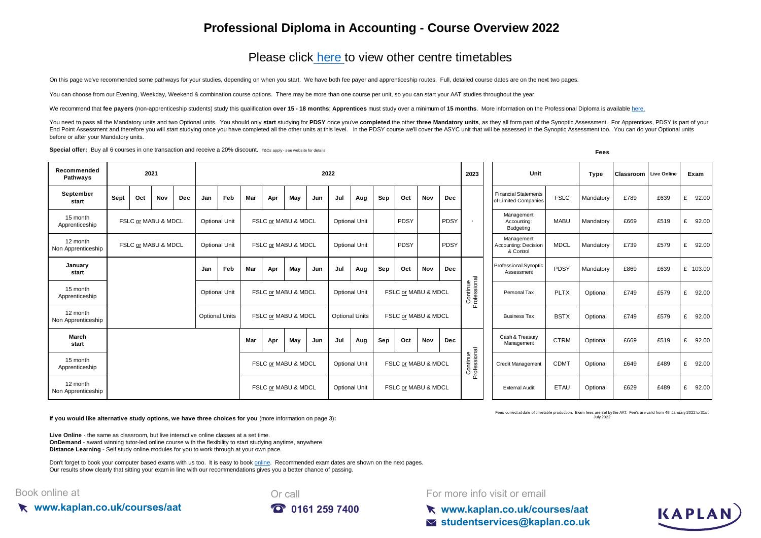## **Professional Diploma in Accounting - Course Overview 2022**

## [Please click here](https://kaplan.co.uk/courses/aat) to view other centre timetables

On this page we've recommended some pathways for your studies, depending on when you start. We have both fee payer and apprenticeship routes. Full, detailed course dates are on the next two pages.

You can choose from our Evening, Weekday, Weekend & combination course options. There may be more than one course per unit, so you can start your AAT studies throughout the year.

We recommend that fee payers (non-apprenticeship students) study this qualification over 15 - 18 months: Apprentices must study over a minimum of 15 months. More information on the Professional Diploma is available here.

You need to pass all the Mandatory units and two Optional units. You should only start studying for PDSY once you've completed the other three Mandatory units, as they all form part of the Synoptic Assessment. For Apprenti End Point Assessment and therefore you will start studying once you have completed all the other units at this level. In the PDSY course we'll cover the ASYC unit that will be assessed in the Synoptic Assessment too. You c before or after your Mandatory units.

**Special offer:** Buy all 6 courses in one transaction and receive a 20% discount. T&Cs apply - see website for details **Fees** 

| Recommended<br><b>Pathwavs</b> | 2021                |     |                     |                      | 2022                                        |     |                     |     |                     |                      |                      |                       |     | 2023                | Unit                |                                        | Type                     | <b>Classroom</b> Live Online                        |             | Exam      |              |      |            |
|--------------------------------|---------------------|-----|---------------------|----------------------|---------------------------------------------|-----|---------------------|-----|---------------------|----------------------|----------------------|-----------------------|-----|---------------------|---------------------|----------------------------------------|--------------------------|-----------------------------------------------------|-------------|-----------|--------------|------|------------|
| September<br>start             | Sept                | Oct | Nov                 | <b>Dec</b>           | Jan                                         | Feb | Mar                 | Apr | May                 | Jun                  | Jul                  | Aug                   | Sep | Oct                 | Nov                 | <b>Dec</b>                             |                          | <b>Financial Statements</b><br>of Limited Companies | <b>FSLC</b> | Mandatory | £789         | £639 | 92.00<br>£ |
| 15 month<br>Apprenticeship     | FSLC or MABU & MDCL |     |                     | <b>Optional Unit</b> |                                             |     | FSLC or MABU & MDCL |     |                     | <b>Optional Unit</b> |                      | PDSY                  |     | PDSY                |                     | Management<br>Accounting:<br>Budgeting | <b>MABU</b>              | Mandatory                                           | £669        | £519      | 92.00<br>£   |      |            |
| 12 month<br>Non Apprenticeship |                     |     | FSLC or MABU & MDCL |                      | <b>Optional Unit</b>                        |     |                     |     | FSLC or MABU & MDCL |                      |                      | <b>Optional Unit</b>  |     | PDSY                |                     | PDSY                                   |                          | Management<br>Accounting: Decision<br>& Control     | <b>MDCL</b> | Mandatory | £739         | £579 | 92.00<br>£ |
| January<br>start               |                     |     |                     |                      | Jan                                         | Feb | Mar                 | Apr | May                 | Jun                  | Jul                  | Aug                   | Sep | Oct                 | Nov                 | <b>Dec</b>                             |                          | <b>Professional Synoptic</b><br>Assessment          | PDSY        | Mandatory | £869         | £639 | £ 103.00   |
| 15 month<br>Apprenticeship     |                     |     |                     |                      | <b>Optional Unit</b><br>FSLC or MABU & MDCL |     |                     |     |                     |                      | <b>Optional Unit</b> |                       |     | FSLC or MABU & MDCL |                     |                                        | Continue<br>'rofessional | Personal Tax                                        | <b>PLTX</b> | Optional  | £749         | £579 | 92.00<br>£ |
| 12 month<br>Non Apprenticeship |                     |     |                     |                      | <b>Optional Units</b>                       |     |                     |     | FSLC or MABU & MDCL |                      |                      | <b>Optional Units</b> |     | FSLC or MABU & MDCL |                     |                                        | $\Omega$                 | <b>Business Tax</b>                                 | <b>BSTX</b> | Optional  | £579<br>£749 |      | 92.00<br>£ |
| March<br>start                 |                     |     |                     |                      |                                             |     | Mar                 | Apr | May                 | Jun                  | Jul                  | Aug                   | Sep | Oct                 | Nov                 | <b>Dec</b>                             |                          | Cash & Treasury<br>Management                       | <b>CTRM</b> | Optional  | £669         | £519 | 92.00<br>£ |
| 15 month<br>Apprenticeship     |                     |     |                     |                      |                                             |     | FSLC or MABU & MDCL |     |                     |                      |                      | <b>Optional Unit</b>  |     | FSLC or MABU & MDCL |                     |                                        | Continue<br>Professional | Credit Management                                   | <b>CDMT</b> | Optional  | £649         | £489 | 92.00<br>£ |
| 12 month<br>Non Apprenticeship |                     |     |                     |                      |                                             |     | FSLC or MABU & MDCL |     |                     |                      |                      | <b>Optional Unit</b>  |     |                     | FSLC or MABU & MDCL |                                        |                          | <b>External Audit</b>                               | <b>ETAU</b> | Optional  | £629         | £489 | £ 92.00    |

**If you would like alternative study options, we have three choices for you** (more information on page 3)**:**

**Live Online** - the same as classroom, but live interactive online classes at a set time. **OnDemand** - award winning tutor-led online course with the flexibility to start studying anytime, anywhere. **Distance Learning** - Self study online modules for you to work through at your own pace.

[Don't forget to book your computer based exams with us too. It is easy to book online.](https://kaplan.co.uk/exams) Recommended exam dates are shown on the next pages. [Our results show clear](https://kaplan.co.uk/exams)ly that sitting your exam in line with our recommendations gives you a better chance of passing.

#### Book online at





For more info visit or email

Fees correct at date of timetable production. Exam fees are set by the AAT. Fee's are valid from 4th January 2022 to 31st July 2022

**www.kaplan.co.uk/courses/aat studentservices@kaplan.co.uk**